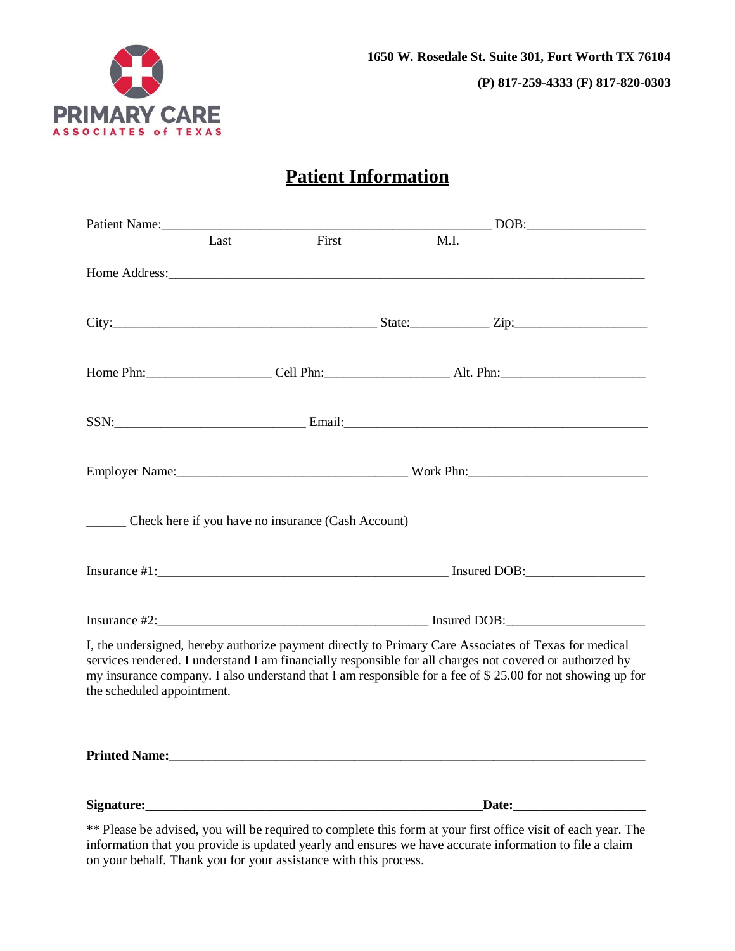

# **Patient Information**

| Patient Name: 1988                                          |      |       |      | $\overline{\text{DOB}:}$                                                                                                                                                                                                                                                                                                       |
|-------------------------------------------------------------|------|-------|------|--------------------------------------------------------------------------------------------------------------------------------------------------------------------------------------------------------------------------------------------------------------------------------------------------------------------------------|
|                                                             | Last | First | M.I. |                                                                                                                                                                                                                                                                                                                                |
|                                                             |      |       |      |                                                                                                                                                                                                                                                                                                                                |
|                                                             |      |       |      |                                                                                                                                                                                                                                                                                                                                |
|                                                             |      |       |      | Home Phn: Cell Phn: Cell Phn: Alt. Phn:                                                                                                                                                                                                                                                                                        |
|                                                             |      |       |      | $SSN:$ Email: Email:                                                                                                                                                                                                                                                                                                           |
|                                                             |      |       |      |                                                                                                                                                                                                                                                                                                                                |
| ________ Check here if you have no insurance (Cash Account) |      |       |      |                                                                                                                                                                                                                                                                                                                                |
|                                                             |      |       |      |                                                                                                                                                                                                                                                                                                                                |
|                                                             |      |       |      |                                                                                                                                                                                                                                                                                                                                |
| the scheduled appointment.                                  |      |       |      | I, the undersigned, hereby authorize payment directly to Primary Care Associates of Texas for medical<br>services rendered. I understand I am financially responsible for all charges not covered or authorzed by<br>my insurance company. I also understand that I am responsible for a fee of \$25.00 for not showing up for |
|                                                             |      |       |      |                                                                                                                                                                                                                                                                                                                                |
| Signature: Signature:                                       |      |       |      | Date: the contract of the contract of the contract of the contract of the contract of the contract of the contract of the contract of the contract of the contract of the contract of the contract of the contract of the cont                                                                                                 |

\*\* Please be advised, you will be required to complete this form at your first office visit of each year. The information that you provide is updated yearly and ensures we have accurate information to file a claim on your behalf. Thank you for your assistance with this process.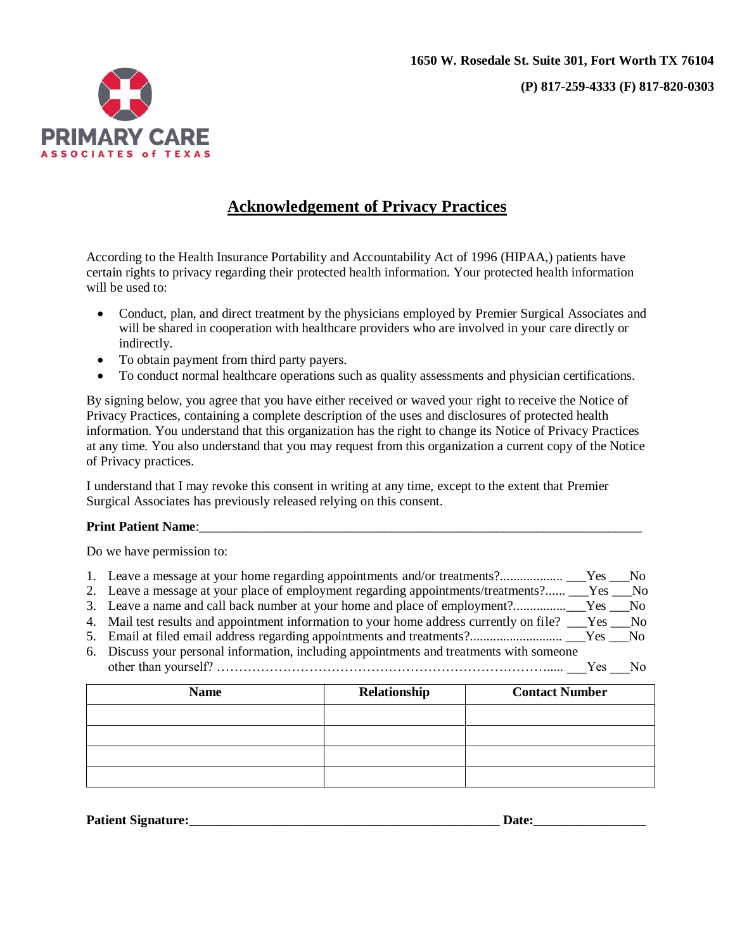

# **Acknowledgement of Privacy Practices**

According to the Health Insurance Portability and Accountability Act of 1996 (HIPAA,) patients have certain rights to privacy regarding their protected health information. Your protected health information will be used to:

- Conduct, plan, and direct treatment by the physicians employed by Premier Surgical Associates and will be shared in cooperation with healthcare providers who are involved in your care directly or indirectly.
- To obtain payment from third party payers.
- To conduct normal healthcare operations such as quality assessments and physician certifications.

By signing below, you agree that you have either received or waved your right to receive the Notice of Privacy Practices, containing a complete description of the uses and disclosures of protected health information. You understand that this organization has the right to change its Notice of Privacy Practices at any time. You also understand that you may request from this organization a current copy of the Notice of Privacy practices.

I understand that I may revoke this consent in writing at any time, except to the extent that Premier Surgical Associates has previously released relying on this consent.

#### **Print Patient Name:**

Do we have permission to:

| $\sim$ $\sim$ |  |  |  |  |  |  |  |
|---------------|--|--|--|--|--|--|--|

- 2. Leave a message at your place of employment regarding appointments/treatments?...... \_\_\_Yes \_\_\_No
- 3. Leave a name and call back number at your home and place of employment?................\_\_\_Yes \_\_\_No
- 4. Mail test results and appointment information to your home address currently on file? \_\_\_Yes \_\_\_No 5. Email at filed email address regarding appointments and treatments?............................ \_\_\_Yes \_\_\_No
- 
- 6. Discuss your personal information, including appointments and treatments with someone other than yourself? …………………………………………………………………..... \_\_\_Yes \_\_\_No

| <b>Name</b> | Relationship | <b>Contact Number</b> |
|-------------|--------------|-----------------------|
|             |              |                       |
|             |              |                       |
|             |              |                       |
|             |              |                       |

**Patient Signature:\_\_\_\_\_\_\_\_\_\_\_\_\_\_\_\_\_\_\_\_\_\_\_\_\_\_\_\_\_\_\_\_\_\_\_\_\_\_\_\_\_\_\_\_\_\_\_ Date:\_\_\_\_\_\_\_\_\_\_\_\_\_\_\_\_\_**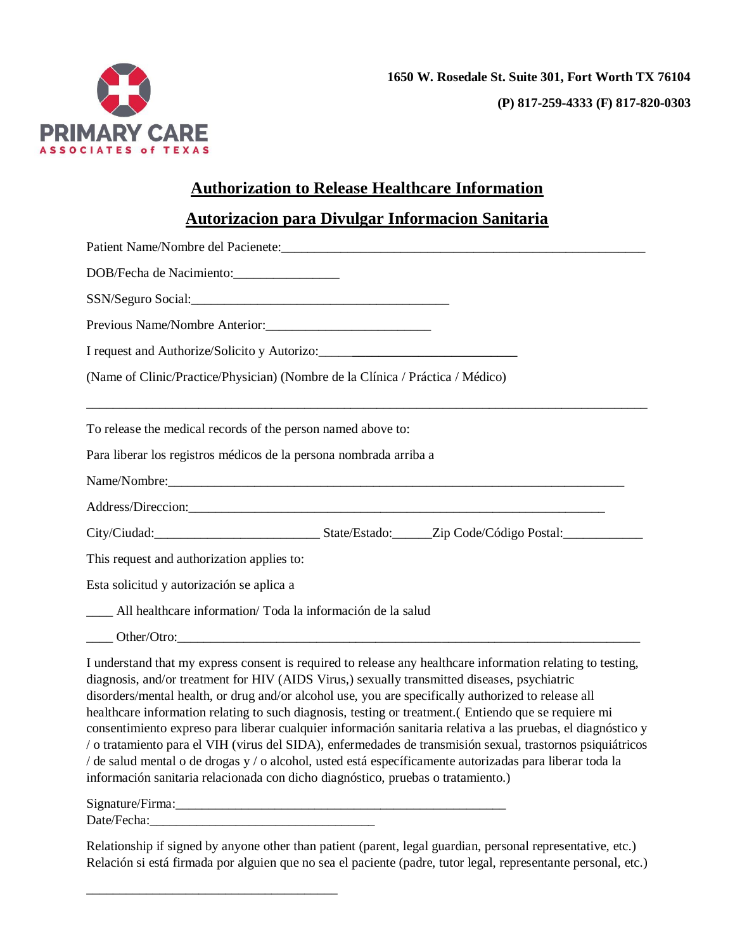

## **Authorization to Release Healthcare Information**

## **Autorizacion para Divulgar Informacion Sanitaria**

| Patient Name/Nombre del Pacienete:                                                                                                                                                                                                                                                                                                                                                                                          |
|-----------------------------------------------------------------------------------------------------------------------------------------------------------------------------------------------------------------------------------------------------------------------------------------------------------------------------------------------------------------------------------------------------------------------------|
| DOB/Fecha de Nacimiento:                                                                                                                                                                                                                                                                                                                                                                                                    |
|                                                                                                                                                                                                                                                                                                                                                                                                                             |
| Previous Name/Nombre Anterior:                                                                                                                                                                                                                                                                                                                                                                                              |
|                                                                                                                                                                                                                                                                                                                                                                                                                             |
| (Name of Clinic/Practice/Physician) (Nombre de la Clínica / Práctica / Médico)                                                                                                                                                                                                                                                                                                                                              |
| To release the medical records of the person named above to:                                                                                                                                                                                                                                                                                                                                                                |
| Para liberar los registros médicos de la persona nombrada arriba a                                                                                                                                                                                                                                                                                                                                                          |
|                                                                                                                                                                                                                                                                                                                                                                                                                             |
| Address/Direccion: 2008. Address/Direccion:                                                                                                                                                                                                                                                                                                                                                                                 |
|                                                                                                                                                                                                                                                                                                                                                                                                                             |
| This request and authorization applies to:                                                                                                                                                                                                                                                                                                                                                                                  |
| Esta solicitud y autorización se aplica a                                                                                                                                                                                                                                                                                                                                                                                   |
| All healthcare information/ Toda la información de la salud                                                                                                                                                                                                                                                                                                                                                                 |
|                                                                                                                                                                                                                                                                                                                                                                                                                             |
| I understand that my express consent is required to release any healthcare information relating to testing,<br>diagnosis, and/or treatment for HIV (AIDS Virus,) sexually transmitted diseases, psychiatric<br>disorders/mental health, or drug and/or alcohol use, you are specifically authorized to release all<br>healthcare information relating to such diagnosis, testing or treatment.( Entiendo que se requiere mi |

consentimiento expreso para liberar cualquier información sanitaria relativa a las pruebas, el diagnóstico y / o tratamiento para el VIH (virus del SIDA), enfermedades de transmisión sexual, trastornos psiquiátricos / de salud mental o de drogas y / o alcohol, usted está específicamente autorizadas para liberar toda la información sanitaria relacionada con dicho diagnóstico, pruebas o tratamiento.)

Signature/Firma:\_\_\_\_\_\_\_\_\_\_\_\_\_\_\_\_\_\_\_\_\_\_\_\_\_\_\_\_\_\_\_\_\_\_\_\_\_\_\_\_\_\_\_\_\_\_\_\_\_\_

\_\_\_\_\_\_\_\_\_\_\_\_\_\_\_\_\_\_\_\_\_\_\_\_\_\_\_\_\_\_\_\_\_\_\_\_\_\_

Date/Fecha:

Relationship if signed by anyone other than patient (parent, legal guardian, personal representative, etc.) Relación si está firmada por alguien que no sea el paciente (padre, tutor legal, representante personal, etc.)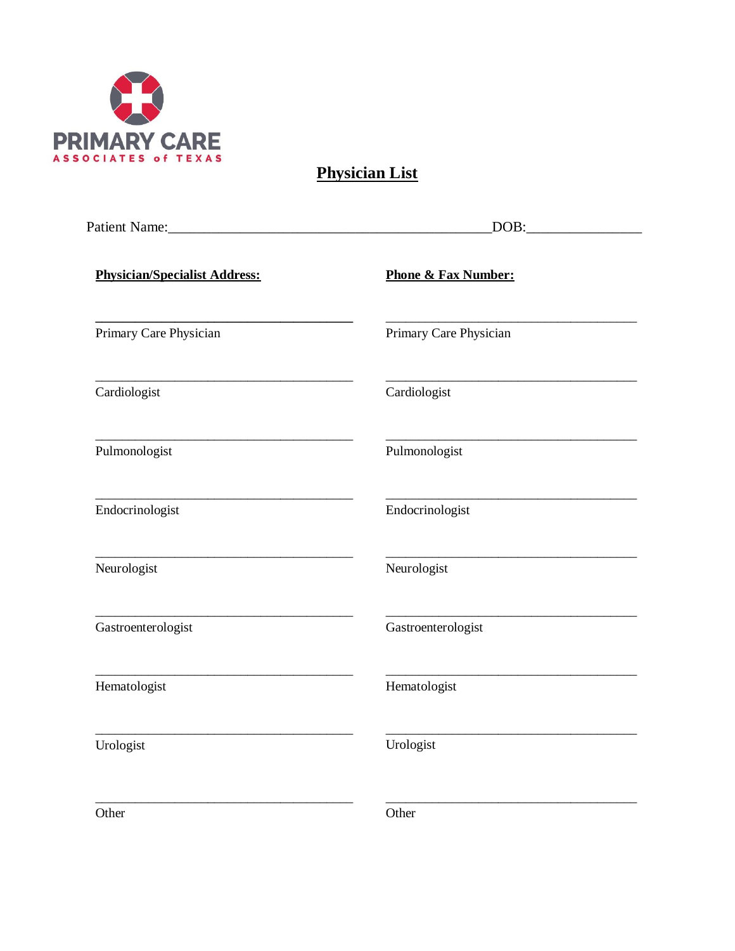

**Physician List** 

|                                      | DOB:                           |
|--------------------------------------|--------------------------------|
| <b>Physician/Specialist Address:</b> | <b>Phone &amp; Fax Number:</b> |
| Primary Care Physician               | Primary Care Physician         |
| Cardiologist                         | Cardiologist                   |
| Pulmonologist                        | Pulmonologist                  |
| Endocrinologist                      | Endocrinologist                |
| Neurologist                          | Neurologist                    |
| Gastroenterologist                   | Gastroenterologist             |
| Hematologist                         | Hematologist                   |
| Urologist                            | Urologist                      |
| Other                                | Other                          |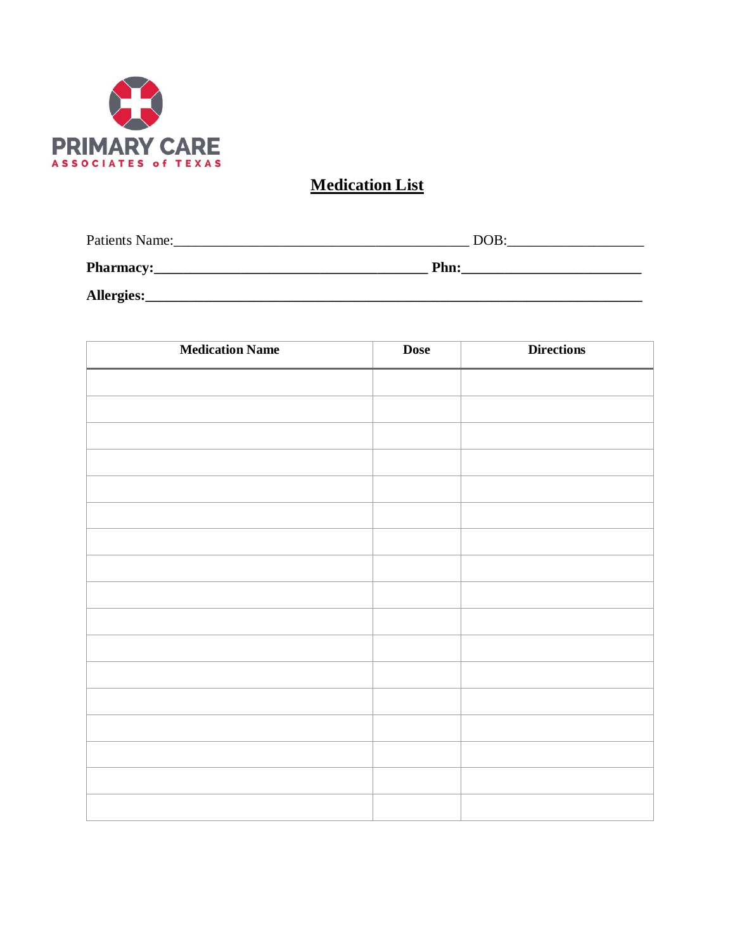

# **Medication List**

| <b>Patients Name:</b> | DOB: |
|-----------------------|------|
| <b>Pharmacy:</b>      | Phn: |
| Allergies:            |      |

| <b>Medication Name</b> | <b>Dose</b> | <b>Directions</b> |
|------------------------|-------------|-------------------|
|                        |             |                   |
|                        |             |                   |
|                        |             |                   |
|                        |             |                   |
|                        |             |                   |
|                        |             |                   |
|                        |             |                   |
|                        |             |                   |
|                        |             |                   |
|                        |             |                   |
|                        |             |                   |
|                        |             |                   |
|                        |             |                   |
|                        |             |                   |
|                        |             |                   |
|                        |             |                   |
|                        |             |                   |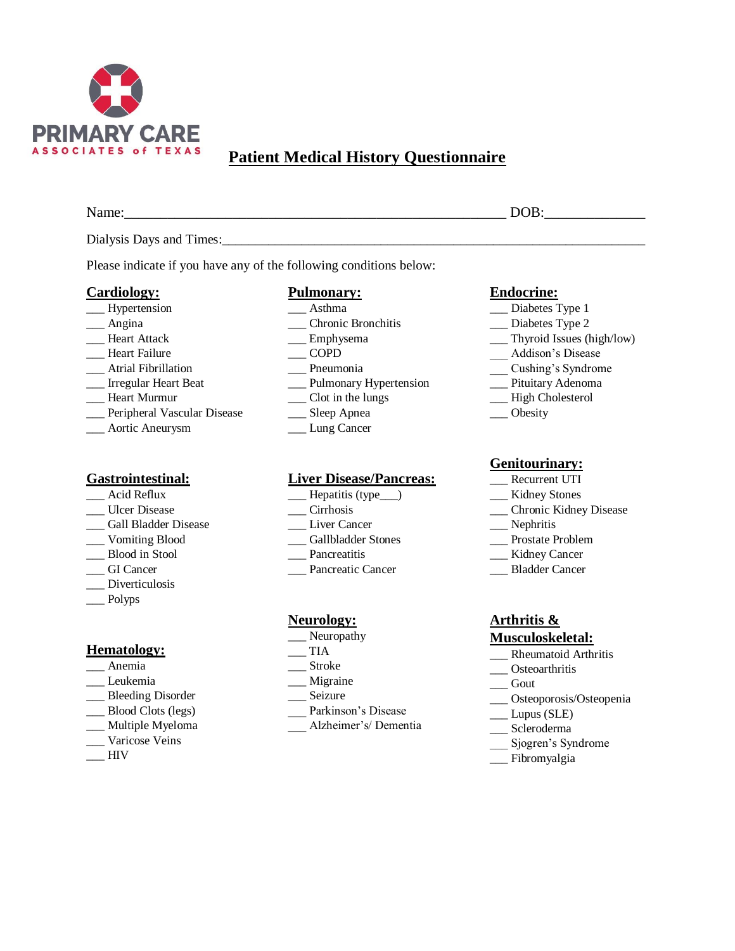

# **Patient Medical History Questionnaire**

Name: The contract of the contract of the contract of the contract of the contract of the contract of the contract of the contract of the contract of the contract of the contract of the contract of the contract of the cont

Dialysis Days and Times:

Please indicate if you have any of the following conditions below:

#### **Cardiology:**

- \_\_\_ Hypertension
- \_\_\_ Angina
- Heart Attack
- \_\_\_ Heart Failure
- \_\_\_ Atrial Fibrillation
- \_\_\_ Irregular Heart Beat
- \_\_\_ Heart Murmur
- \_\_\_ Peripheral Vascular Disease
- \_\_\_ Aortic Aneurysm

### **Gastrointestinal:**

- \_\_\_ Acid Reflux
- \_\_\_ Ulcer Disease
- \_\_\_ Gall Bladder Disease
- \_\_\_ Vomiting Blood
- \_\_\_ Blood in Stool
- \_\_\_ GI Cancer
- \_\_\_ Diverticulosis
- \_\_\_ Polyps

#### **Hematology:**

- \_\_\_ Anemia
- \_\_\_ Leukemia
- \_\_\_ Bleeding Disorder
- \_\_\_ Blood Clots (legs)
- \_\_\_ Multiple Myeloma
- \_\_\_ Varicose Veins
- $\equiv$ HIV

### **Pulmonary:**

- \_\_\_ Asthma
- \_\_\_ Chronic Bronchitis
- Emphysema
- $\overline{\phantom{0}}$  COPD
- \_\_\_ Pneumonia
- \_\_\_ Pulmonary Hypertension
- \_\_\_ Clot in the lungs
- \_\_\_ Sleep Apnea \_\_\_ Lung Cancer

## **Liver Disease/Pancreas:**

- \_\_\_ Hepatitis (type\_\_\_)
- \_\_\_ Cirrhosis
- \_\_\_ Liver Cancer
- \_\_\_ Gallbladder Stones
- \_\_\_ Pancreatitis
- \_\_\_ Pancreatic Cancer

#### **Neurology:**

- Neuropathy
- $\overline{\phantom{a}}$  TIA
- \_\_\_ Stroke
- \_\_\_ Migraine
- \_\_\_ Seizure
- \_\_\_ Parkinson's Disease
- \_\_\_ Alzheimer's/ Dementia

#### **Endocrine:**

- \_\_\_ Diabetes Type 1
- \_\_\_ Diabetes Type 2
- \_\_\_ Thyroid Issues (high/low)
- \_\_\_ Addison's Disease
- 
- 
- \_\_\_ High Cholesterol
- \_\_\_ Obesity

#### **Genitourinary:**

- \_\_\_ Recurrent UTI
- \_\_\_ Kidney Stones
- \_\_\_ Chronic Kidney Disease
- \_\_\_ Nephritis
- \_\_\_ Prostate Problem
- \_\_ Kidney Cancer
- \_\_\_ Bladder Cancer

## **Arthritis &**

#### **Musculoskeletal:**

- \_\_ Rheumatoid Arthritis
- \_\_\_ Osteoarthritis
- $\_\_$  Gout
- \_\_\_ Osteoporosis/Osteopenia
- \_\_\_ Lupus (SLE)
- \_\_\_ Scleroderma
- \_\_\_ Sjogren's Syndrome
- \_\_\_ Fibromyalgia
- -
	- \_\_\_ Cushing's Syndrome
	- \_\_\_ Pituitary Adenoma
	-
	-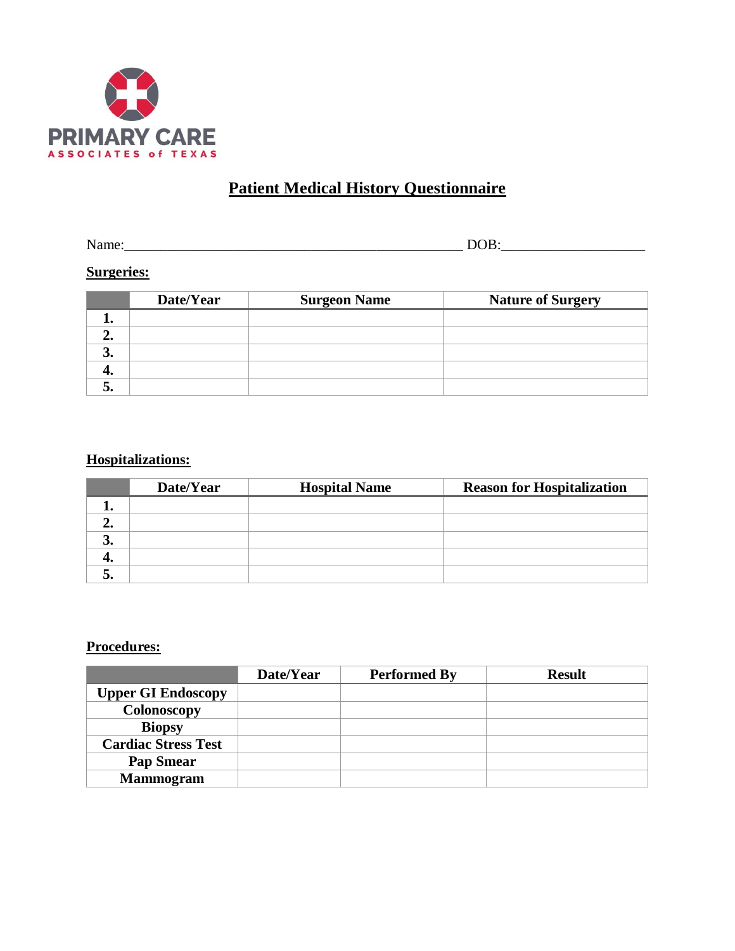

# **Patient Medical History Questionnaire**

Name:\_\_\_\_\_\_\_\_\_\_\_\_\_\_\_\_\_\_\_\_\_\_\_\_\_\_\_\_\_\_\_\_\_\_\_\_\_\_\_\_\_\_\_\_\_\_\_ DOB:\_\_\_\_\_\_\_\_\_\_\_\_\_\_\_\_\_\_\_\_

## **Surgeries:**

|    | Date/Year | <b>Surgeon Name</b> | <b>Nature of Surgery</b> |
|----|-----------|---------------------|--------------------------|
|    |           |                     |                          |
|    |           |                     |                          |
| э. |           |                     |                          |
| 4. |           |                     |                          |
| ت  |           |                     |                          |

## **Hospitalizations:**

|    | Date/Year | <b>Hospital Name</b> | <b>Reason for Hospitalization</b> |
|----|-----------|----------------------|-----------------------------------|
|    |           |                      |                                   |
|    |           |                      |                                   |
| J. |           |                      |                                   |
|    |           |                      |                                   |
|    |           |                      |                                   |

### **Procedures:**

|                            | Date/Year | <b>Performed By</b> | <b>Result</b> |
|----------------------------|-----------|---------------------|---------------|
| <b>Upper GI Endoscopy</b>  |           |                     |               |
| Colonoscopy                |           |                     |               |
| <b>Biopsy</b>              |           |                     |               |
| <b>Cardiac Stress Test</b> |           |                     |               |
| <b>Pap Smear</b>           |           |                     |               |
| <b>Mammogram</b>           |           |                     |               |